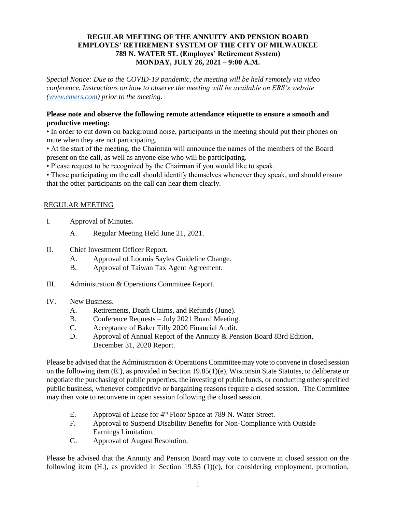#### **REGULAR MEETING OF THE ANNUITY AND PENSION BOARD EMPLOYES' RETIREMENT SYSTEM OF THE CITY OF MILWAUKEE 789 N. WATER ST. (Employes' Retirement System) MONDAY, JULY 26, 2021 – 9:00 A.M.**

*Special Notice: Due to the COVID-19 pandemic, the meeting will be held remotely via video conference. Instructions on how to observe the meeting will be available on ERS's website [\(www.cmers.com\)](http://www.cmers.com/) prior to the meeting.*

#### **Please note and observe the following remote attendance etiquette to ensure a smooth and productive meeting:**

• In order to cut down on background noise, participants in the meeting should put their phones on mute when they are not participating.

• At the start of the meeting, the Chairman will announce the names of the members of the Board present on the call, as well as anyone else who will be participating.

• Please request to be recognized by the Chairman if you would like to speak.

• Those participating on the call should identify themselves whenever they speak, and should ensure that the other participants on the call can hear them clearly.

## REGULAR MEETING

- I. Approval of Minutes.
	- A. Regular Meeting Held June 21, 2021.
- II. Chief Investment Officer Report.
	- A. Approval of Loomis Sayles Guideline Change.
	- B. Approval of Taiwan Tax Agent Agreement.
- III. Administration & Operations Committee Report.
- IV. New Business.
	- A. Retirements, Death Claims, and Refunds (June).
	- B. Conference Requests July 2021 Board Meeting.
	- C. Acceptance of Baker Tilly 2020 Financial Audit.
	- D. Approval of Annual Report of the Annuity & Pension Board 83rd Edition, December 31, 2020 Report.

Please be advised that the Administration & Operations Committee may vote to convene in closed session on the following item (E.), as provided in Section 19.85(1)(e), Wisconsin State Statutes, to deliberate or negotiate the purchasing of public properties, the investing of public funds, or conducting other specified public business, whenever competitive or bargaining reasons require a closed session. The Committee may then vote to reconvene in open session following the closed session.

- E. Approval of Lease for 4<sup>th</sup> Floor Space at 789 N. Water Street.
- F. Approval to Suspend Disability Benefits for Non-Compliance with Outside Earnings Limitation.
- G. Approval of August Resolution.

Please be advised that the Annuity and Pension Board may vote to convene in closed session on the following item  $(H)$ , as provided in Section 19.85  $(1)(c)$ , for considering employment, promotion,